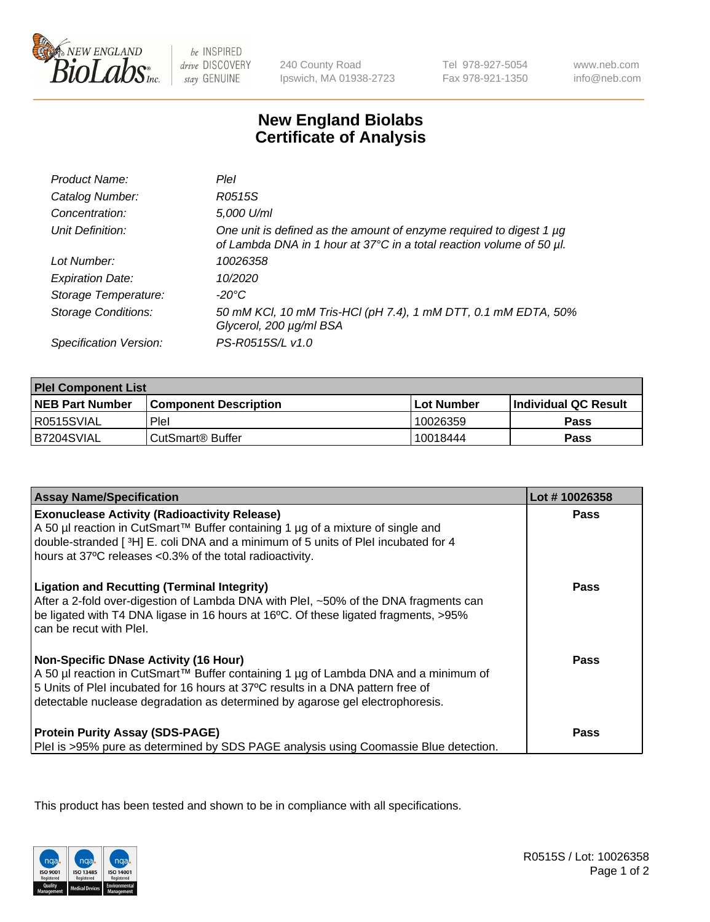

be INSPIRED drive DISCOVERY stay GENUINE

240 County Road Ipswich, MA 01938-2723 Tel 978-927-5054 Fax 978-921-1350

www.neb.com info@neb.com

## **New England Biolabs Certificate of Analysis**

| Product Name:              | Plel                                                                                                                                        |
|----------------------------|---------------------------------------------------------------------------------------------------------------------------------------------|
| Catalog Number:            | R0515S                                                                                                                                      |
| Concentration:             | 5,000 U/ml                                                                                                                                  |
| Unit Definition:           | One unit is defined as the amount of enzyme required to digest 1 µg<br>of Lambda DNA in 1 hour at 37°C in a total reaction volume of 50 µl. |
| Lot Number:                | 10026358                                                                                                                                    |
| <b>Expiration Date:</b>    | 10/2020                                                                                                                                     |
| Storage Temperature:       | -20°C                                                                                                                                       |
| <b>Storage Conditions:</b> | 50 mM KCl, 10 mM Tris-HCl (pH 7.4), 1 mM DTT, 0.1 mM EDTA, 50%<br>Glycerol, 200 µg/ml BSA                                                   |
| Specification Version:     | PS-R0515S/L v1.0                                                                                                                            |

| <b>Plel Component List</b> |                              |              |                             |  |  |
|----------------------------|------------------------------|--------------|-----------------------------|--|--|
| <b>NEB Part Number</b>     | <b>Component Description</b> | l Lot Number | <b>Individual QC Result</b> |  |  |
| R0515SVIAL                 | Plel                         | 10026359     | Pass                        |  |  |
| B7204SVIAL                 | l CutSmart® Buffer           | 10018444     | Pass                        |  |  |

| <b>Assay Name/Specification</b>                                                                                                                                                                                                                                                                         | Lot #10026358 |
|---------------------------------------------------------------------------------------------------------------------------------------------------------------------------------------------------------------------------------------------------------------------------------------------------------|---------------|
| <b>Exonuclease Activity (Radioactivity Release)</b><br>A 50 µl reaction in CutSmart™ Buffer containing 1 µg of a mixture of single and<br>double-stranded [3H] E. coli DNA and a minimum of 5 units of PleI incubated for 4<br>hours at 37°C releases <0.3% of the total radioactivity.                 | <b>Pass</b>   |
| <b>Ligation and Recutting (Terminal Integrity)</b><br>After a 2-fold over-digestion of Lambda DNA with Plel, ~50% of the DNA fragments can<br>be ligated with T4 DNA ligase in 16 hours at 16°C. Of these ligated fragments, >95%<br>can be recut with Plel.                                            | Pass          |
| <b>Non-Specific DNase Activity (16 Hour)</b><br>A 50 µl reaction in CutSmart™ Buffer containing 1 µg of Lambda DNA and a minimum of<br>5 Units of PleI incubated for 16 hours at 37°C results in a DNA pattern free of<br>detectable nuclease degradation as determined by agarose gel electrophoresis. | Pass          |
| <b>Protein Purity Assay (SDS-PAGE)</b><br>PleI is >95% pure as determined by SDS PAGE analysis using Coomassie Blue detection.                                                                                                                                                                          | Pass          |

This product has been tested and shown to be in compliance with all specifications.